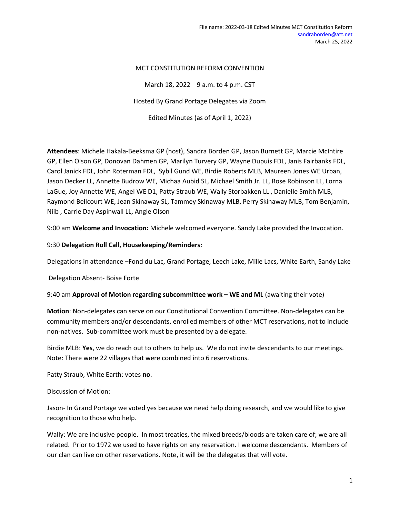### MCT CONSTITUTION REFORM CONVENTION

March 18, 2022 9 a.m. to 4 p.m. CST Hosted By Grand Portage Delegates via Zoom Edited Minutes (as of April 1, 2022)

Attendees: Michele Hakala-Beeksma GP (host), Sandra Borden GP, Jason Burnett GP, Marcie McIntire GP, Ellen Olson GP, Donovan Dahmen GP, Marilyn Turvery GP, Wayne Dupuis FDL, Janis Fairbanks FDL, Carol Janick FDL, John Roterman FDL, Sybil Gund WE, Birdie Roberts MLB, Maureen Jones WE Urban, Jason Decker LL, Annette Budrow WE, Michaa Aubid SL, Michael Smith Jr. LL, Rose Robinson LL, Lorna LaGue, Joy Annette WE, Angel WE D1, Patty Straub WE, Wally Storbakken LL , Danielle Smith MLB, Raymond Bellcourt WE, Jean Skinaway SL, Tammey Skinaway MLB, Perry Skinaway MLB, Tom Benjamin, Niib , Carrie Day Aspinwall LL, Angie Olson

9:00 am Welcome and Invocation: Michele welcomed everyone. Sandy Lake provided the Invocation.

9:30 Delegation Roll Call, Housekeeping/Reminders:

Delegations in attendance –Fond du Lac, Grand Portage, Leech Lake, Mille Lacs, White Earth, Sandy Lake

Delegation Absent- Boise Forte

9:40 am Approval of Motion regarding subcommittee work – WE and ML (awaiting their vote)

Motion: Non-delegates can serve on our Constitutional Convention Committee. Non-delegates can be community members and/or descendants, enrolled members of other MCT reservations, not to include non-natives. Sub-committee work must be presented by a delegate.

Birdie MLB: Yes, we do reach out to others to help us. We do not invite descendants to our meetings. Note: There were 22 villages that were combined into 6 reservations.

Patty Straub, White Earth: votes no.

Discussion of Motion:

Jason- In Grand Portage we voted yes because we need help doing research, and we would like to give recognition to those who help.

Wally: We are inclusive people. In most treaties, the mixed breeds/bloods are taken care of; we are all related. Prior to 1972 we used to have rights on any reservation. I welcome descendants. Members of our clan can live on other reservations. Note, it will be the delegates that will vote.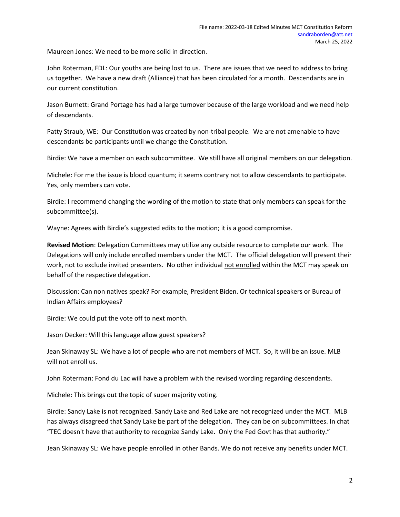Maureen Jones: We need to be more solid in direction.

John Roterman, FDL: Our youths are being lost to us. There are issues that we need to address to bring us together. We have a new draft (Alliance) that has been circulated for a month. Descendants are in our current constitution.

Jason Burnett: Grand Portage has had a large turnover because of the large workload and we need help of descendants.

Patty Straub, WE: Our Constitution was created by non-tribal people. We are not amenable to have descendants be participants until we change the Constitution.

Birdie: We have a member on each subcommittee. We still have all original members on our delegation.

Michele: For me the issue is blood quantum; it seems contrary not to allow descendants to participate. Yes, only members can vote.

Birdie: I recommend changing the wording of the motion to state that only members can speak for the subcommittee(s).

Wayne: Agrees with Birdie's suggested edits to the motion; it is a good compromise.

Revised Motion: Delegation Committees may utilize any outside resource to complete our work. The Delegations will only include enrolled members under the MCT. The official delegation will present their work, not to exclude invited presenters. No other individual not enrolled within the MCT may speak on behalf of the respective delegation.

Discussion: Can non natives speak? For example, President Biden. Or technical speakers or Bureau of Indian Affairs employees?

Birdie: We could put the vote off to next month.

Jason Decker: Will this language allow guest speakers?

Jean Skinaway SL: We have a lot of people who are not members of MCT. So, it will be an issue. MLB will not enroll us.

John Roterman: Fond du Lac will have a problem with the revised wording regarding descendants.

Michele: This brings out the topic of super majority voting.

Birdie: Sandy Lake is not recognized. Sandy Lake and Red Lake are not recognized under the MCT. MLB has always disagreed that Sandy Lake be part of the delegation. They can be on subcommittees. In chat "TEC doesn't have that authority to recognize Sandy Lake. Only the Fed Govt has that authority."

Jean Skinaway SL: We have people enrolled in other Bands. We do not receive any benefits under MCT.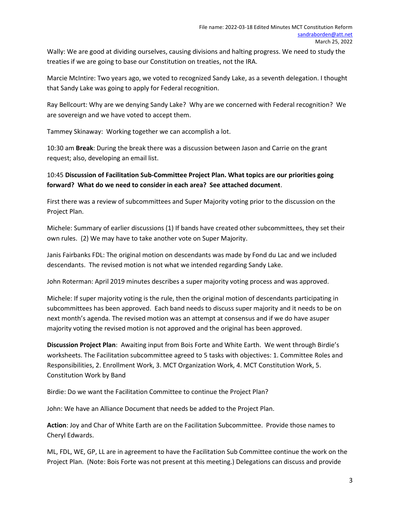Wally: We are good at dividing ourselves, causing divisions and halting progress. We need to study the treaties if we are going to base our Constitution on treaties, not the IRA.

Marcie McIntire: Two years ago, we voted to recognized Sandy Lake, as a seventh delegation. I thought that Sandy Lake was going to apply for Federal recognition.

Ray Bellcourt: Why are we denying Sandy Lake? Why are we concerned with Federal recognition? We are sovereign and we have voted to accept them.

Tammey Skinaway: Working together we can accomplish a lot.

10:30 am Break: During the break there was a discussion between Jason and Carrie on the grant request; also, developing an email list.

10:45 Discussion of Facilitation Sub-Committee Project Plan. What topics are our priorities going forward? What do we need to consider in each area? See attached document.

First there was a review of subcommittees and Super Majority voting prior to the discussion on the Project Plan.

Michele: Summary of earlier discussions (1) If bands have created other subcommittees, they set their own rules. (2) We may have to take another vote on Super Majority.

Janis Fairbanks FDL: The original motion on descendants was made by Fond du Lac and we included descendants. The revised motion is not what we intended regarding Sandy Lake.

John Roterman: April 2019 minutes describes a super majority voting process and was approved.

Michele: If super majority voting is the rule, then the original motion of descendants participating in subcommittees has been approved. Each band needs to discuss super majority and it needs to be on next month's agenda. The revised motion was an attempt at consensus and if we do have asuper majority voting the revised motion is not approved and the original has been approved.

Discussion Project Plan: Awaiting input from Bois Forte and White Earth. We went through Birdie's worksheets. The Facilitation subcommittee agreed to 5 tasks with objectives: 1. Committee Roles and Responsibilities, 2. Enrollment Work, 3. MCT Organization Work, 4. MCT Constitution Work, 5. Constitution Work by Band

Birdie: Do we want the Facilitation Committee to continue the Project Plan?

John: We have an Alliance Document that needs be added to the Project Plan.

Action: Joy and Char of White Earth are on the Facilitation Subcommittee. Provide those names to Cheryl Edwards.

ML, FDL, WE, GP, LL are in agreement to have the Facilitation Sub Committee continue the work on the Project Plan. (Note: Bois Forte was not present at this meeting.) Delegations can discuss and provide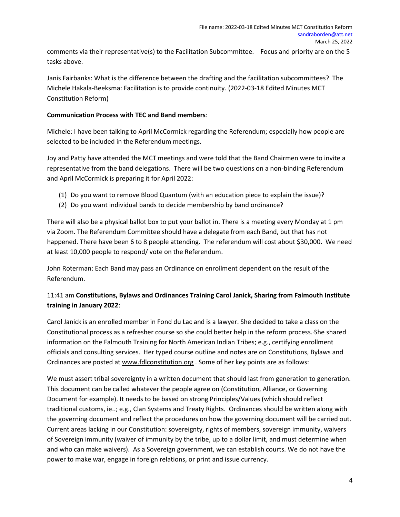comments via their representative(s) to the Facilitation Subcommittee. Focus and priority are on the 5 tasks above.

Janis Fairbanks: What is the difference between the drafting and the facilitation subcommittees? The Michele Hakala-Beeksma: Facilitation is to provide continuity. (2022-03-18 Edited Minutes MCT Constitution Reform)

## Communication Process with TEC and Band members:

Michele: I have been talking to April McCormick regarding the Referendum; especially how people are selected to be included in the Referendum meetings.

Joy and Patty have attended the MCT meetings and were told that the Band Chairmen were to invite a representative from the band delegations. There will be two questions on a non-binding Referendum and April McCormick is preparing it for April 2022:

- (1) Do you want to remove Blood Quantum (with an education piece to explain the issue)?
- (2) Do you want individual bands to decide membership by band ordinance?

There will also be a physical ballot box to put your ballot in. There is a meeting every Monday at 1 pm via Zoom. The Referendum Committee should have a delegate from each Band, but that has not happened. There have been 6 to 8 people attending. The referendum will cost about \$30,000. We need at least 10,000 people to respond/ vote on the Referendum.

John Roterman: Each Band may pass an Ordinance on enrollment dependent on the result of the Referendum.

# 11:41 am Constitutions, Bylaws and Ordinances Training Carol Janick, Sharing from Falmouth Institute training in January 2022:

Carol Janick is an enrolled member in Fond du Lac and is a lawyer. She decided to take a class on the Constitutional process as a refresher course so she could better help in the reform process. She shared information on the Falmouth Training for North American Indian Tribes; e.g., certifying enrollment officials and consulting services. Her typed course outline and notes are on Constitutions, Bylaws and Ordinances are posted at www.fdlconstitution.org . Some of her key points are as follows:

We must assert tribal sovereignty in a written document that should last from generation to generation. This document can be called whatever the people agree on (Constitution, Alliance, or Governing Document for example). It needs to be based on strong Principles/Values (which should reflect traditional customs, ie..; e.g., Clan Systems and Treaty Rights. Ordinances should be written along with the governing document and reflect the procedures on how the governing document will be carried out. Current areas lacking in our Constitution: sovereignty, rights of members, sovereign immunity, waivers of Sovereign immunity (waiver of immunity by the tribe, up to a dollar limit, and must determine when and who can make waivers). As a Sovereign government, we can establish courts. We do not have the power to make war, engage in foreign relations, or print and issue currency.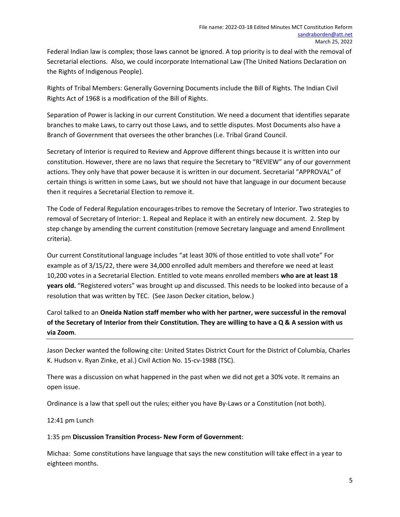Federal Indian law is complex; those laws cannot be ignored. A top priority is to deal with the removal of Secretarial elections. Also, we could incorporate International Law (The United Nations Declaration on the Rights of Indigenous People).

Rights of Tribal Members: Generally Governing Documents include the Bill of Rights. The Indian Civil Rights Act of 1968 is a modification of the Bill of Rights.

Separation of Power is lacking in our current Constitution. We need a document that identifies separate branches to make Laws, to carry out those Laws, and to settle disputes. Most Documents also have a Branch of Government that oversees the other branches (i.e. Tribal Grand Council.

Secretary of Interior is required to Review and Approve different things because it is written into our constitution. However, there are no laws that require the Secretary to "REVIEW" any of our government actions. They only have that power because it is written in our document. Secretarial "APPROVAL" of certain things is written in some Laws, but we should not have that language in our document because then it requires a Secretarial Election to remove it.

The Code of Federal Regulation encourages tribes to remove the Secretary of Interior. Two strategies to removal of Secretary of Interior: 1. Repeal and Replace it with an entirely new document. 2. Step by step change by amending the current constitution (remove Secretary language and amend Enrollment criteria).

Our current Constitutional language includes "at least 30% of those entitled to vote shall vote" For example as of 3/15/22, there were 34,000 enrolled adult members and therefore we need at least 10,200 votes in a Secretarial Election. Entitled to vote means enrolled members who are at least 18 years old. "Registered voters" was brought up and discussed. This needs to be looked into because of a resolution that was written by TEC. (See Jason Decker citation, below.)

Carol talked to an Oneida Nation staff member who with her partner, were successful in the removal of the Secretary of Interior from their Constitution. They are willing to have a Q & A session with us via Zoom.

Jason Decker wanted the following cite: United States District Court for the District of Columbia, Charles K. Hudson v. Ryan Zinke, et al.) Civil Action No. 15-cv-1988 (TSC).

There was a discussion on what happened in the past when we did not get a 30% vote. It remains an open issue.

Ordinance is a law that spell out the rules; either you have By-Laws or a Constitution (not both).

12:41 pm Lunch

#### 1:35 pm Discussion Transition Process- New Form of Government:

Michaa: Some constitutions have language that says the new constitution will take effect in a year to eighteen months.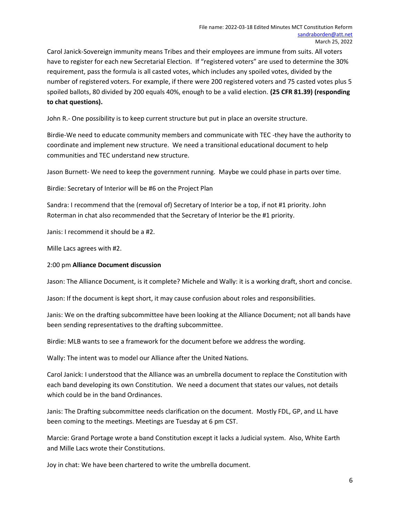Carol Janick-Sovereign immunity means Tribes and their employees are immune from suits. All voters have to register for each new Secretarial Election. If "registered voters" are used to determine the 30% requirement, pass the formula is all casted votes, which includes any spoiled votes, divided by the number of registered voters. For example, if there were 200 registered voters and 75 casted votes plus 5 spoiled ballots, 80 divided by 200 equals 40%, enough to be a valid election. (25 CFR 81.39) (responding to chat questions).

John R.- One possibility is to keep current structure but put in place an oversite structure.

Birdie-We need to educate community members and communicate with TEC -they have the authority to coordinate and implement new structure. We need a transitional educational document to help communities and TEC understand new structure.

Jason Burnett- We need to keep the government running. Maybe we could phase in parts over time.

Birdie: Secretary of Interior will be #6 on the Project Plan

Sandra: I recommend that the (removal of) Secretary of Interior be a top, if not #1 priority. John Roterman in chat also recommended that the Secretary of Interior be the #1 priority.

Janis: I recommend it should be a #2.

Mille Lacs agrees with #2.

#### 2:00 pm Alliance Document discussion

Jason: The Alliance Document, is it complete? Michele and Wally: it is a working draft, short and concise.

Jason: If the document is kept short, it may cause confusion about roles and responsibilities.

Janis: We on the drafting subcommittee have been looking at the Alliance Document; not all bands have been sending representatives to the drafting subcommittee.

Birdie: MLB wants to see a framework for the document before we address the wording.

Wally: The intent was to model our Alliance after the United Nations.

Carol Janick: I understood that the Alliance was an umbrella document to replace the Constitution with each band developing its own Constitution. We need a document that states our values, not details which could be in the band Ordinances.

Janis: The Drafting subcommittee needs clarification on the document. Mostly FDL, GP, and LL have been coming to the meetings. Meetings are Tuesday at 6 pm CST.

Marcie: Grand Portage wrote a band Constitution except it lacks a Judicial system. Also, White Earth and Mille Lacs wrote their Constitutions.

Joy in chat: We have been chartered to write the umbrella document.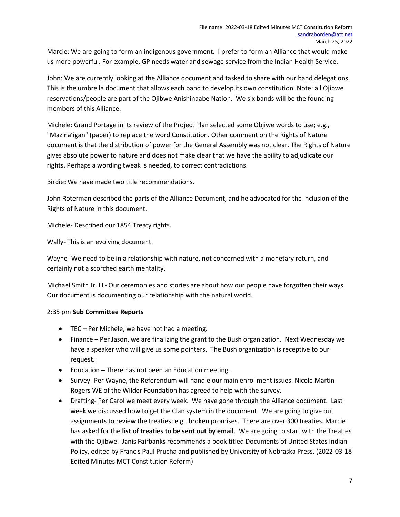Marcie: We are going to form an indigenous government. I prefer to form an Alliance that would make us more powerful. For example, GP needs water and sewage service from the Indian Health Service.

John: We are currently looking at the Alliance document and tasked to share with our band delegations. This is the umbrella document that allows each band to develop its own constitution. Note: all Ojibwe reservations/people are part of the Ojibwe Anishinaabe Nation. We six bands will be the founding members of this Alliance.

Michele: Grand Portage in its review of the Project Plan selected some Objiwe words to use; e.g., "Mazina'igan" (paper) to replace the word Constitution. Other comment on the Rights of Nature document is that the distribution of power for the General Assembly was not clear. The Rights of Nature gives absolute power to nature and does not make clear that we have the ability to adjudicate our rights. Perhaps a wording tweak is needed, to correct contradictions.

Birdie: We have made two title recommendations.

John Roterman described the parts of the Alliance Document, and he advocated for the inclusion of the Rights of Nature in this document.

Michele- Described our 1854 Treaty rights.

Wally- This is an evolving document.

Wayne- We need to be in a relationship with nature, not concerned with a monetary return, and certainly not a scorched earth mentality.

Michael Smith Jr. LL- Our ceremonies and stories are about how our people have forgotten their ways. Our document is documenting our relationship with the natural world.

## 2:35 pm Sub Committee Reports

- TEC Per Michele, we have not had a meeting.
- Finance Per Jason, we are finalizing the grant to the Bush organization. Next Wednesday we have a speaker who will give us some pointers. The Bush organization is receptive to our request.
- Education There has not been an Education meeting.
- Survey- Per Wayne, the Referendum will handle our main enrollment issues. Nicole Martin Rogers WE of the Wilder Foundation has agreed to help with the survey.
- Drafting- Per Carol we meet every week. We have gone through the Alliance document. Last week we discussed how to get the Clan system in the document. We are going to give out assignments to review the treaties; e.g., broken promises. There are over 300 treaties. Marcie has asked for the list of treaties to be sent out by email. We are going to start with the Treaties with the Ojibwe. Janis Fairbanks recommends a book titled Documents of United States Indian Policy, edited by Francis Paul Prucha and published by University of Nebraska Press. (2022-03-18 Edited Minutes MCT Constitution Reform)